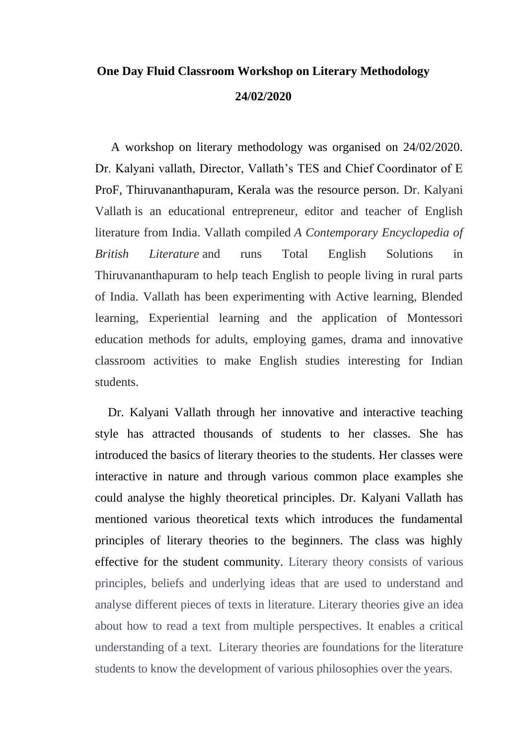## **One Day Fluid Classroom Workshop on Literary Methodology 24/02/2020**

 A workshop on literary methodology was organised on 24/02/2020. Dr. Kalyani vallath, Director, Vallath's TES and Chief Coordinator of E ProF, Thiruvananthapuram, Kerala was the resource person. Dr. Kalyani Vallath is an educational entrepreneur, editor and teacher of English literature from India. Vallath compiled *A Contemporary Encyclopedia of British Literature* and runs Total English Solutions in Thiruvananthapuram to help teach English to people living in rural parts of India. Vallath has been experimenting with Active learning, Blended learning, Experiential learning and the application of Montessori education methods for adults, employing games, drama and innovative classroom activities to make English studies interesting for Indian students.

 Dr. Kalyani Vallath through her innovative and interactive teaching style has attracted thousands of students to her classes. She has introduced the basics of literary theories to the students. Her classes were interactive in nature and through various common place examples she could analyse the highly theoretical principles. Dr. Kalyani Vallath has mentioned various theoretical texts which introduces the fundamental principles of literary theories to the beginners. The class was highly effective for the student community. Literary theory consists of various principles, beliefs and underlying ideas that are used to understand and analyse different pieces of texts in literature. Literary theories give an idea about how to read a text from multiple perspectives. It enables a critical understanding of a text. Literary theories are foundations for the literature students to know the development of various philosophies over the years.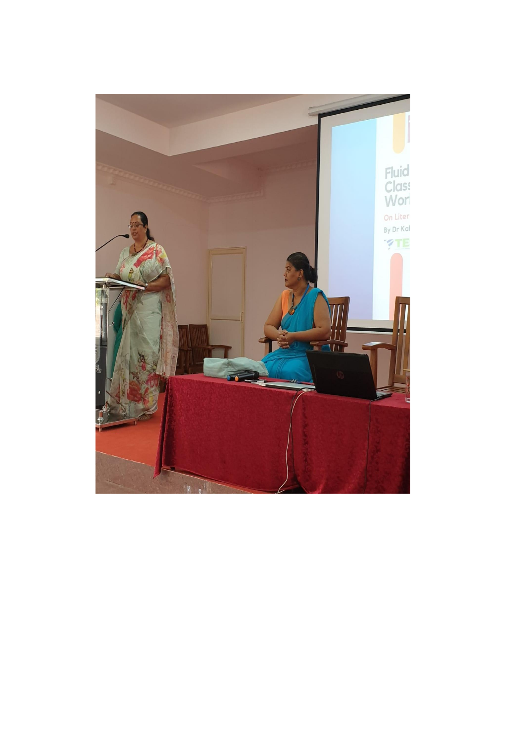